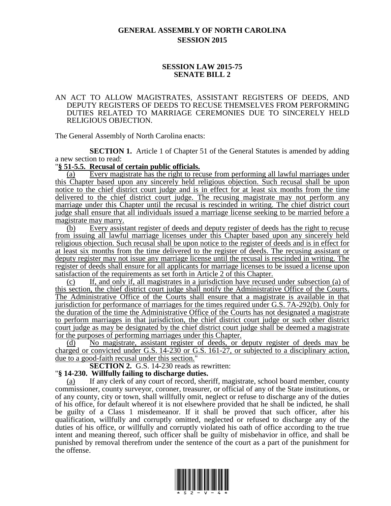# **GENERAL ASSEMBLY OF NORTH CAROLINA SESSION 2015**

### **SESSION LAW 2015-75 SENATE BILL 2**

#### AN ACT TO ALLOW MAGISTRATES, ASSISTANT REGISTERS OF DEEDS, AND DEPUTY REGISTERS OF DEEDS TO RECUSE THEMSELVES FROM PERFORMING DUTIES RELATED TO MARRIAGE CEREMONIES DUE TO SINCERELY HELD RELIGIOUS OBJECTION.

The General Assembly of North Carolina enacts:

**SECTION 1.** Article 1 of Chapter 51 of the General Statutes is amended by adding a new section to read:

#### "**§ 51-5.5. Recusal of certain public officials.**

(a) Every magistrate has the right to recuse from performing all lawful marriages under this Chapter based upon any sincerely held religious objection. Such recusal shall be upon notice to the chief district court judge and is in effect for at least six months from the time delivered to the chief district court judge. The recusing magistrate may not perform any marriage under this Chapter until the recusal is rescinded in writing. The chief district court judge shall ensure that all individuals issued a marriage license seeking to be married before a magistrate may marry.

(b) Every assistant register of deeds and deputy register of deeds has the right to recuse from issuing all lawful marriage licenses under this Chapter based upon any sincerely held religious objection. Such recusal shall be upon notice to the register of deeds and is in effect for at least six months from the time delivered to the register of deeds. The recusing assistant or deputy register may not issue any marriage license until the recusal is rescinded in writing. The register of deeds shall ensure for all applicants for marriage licenses to be issued a license upon satisfaction of the requirements as set forth in Article 2 of this Chapter.

(c) If, and only if, all magistrates in a jurisdiction have recused under subsection (a) of this section, the chief district court judge shall notify the Administrative Office of the Courts. The Administrative Office of the Courts shall ensure that a magistrate is available in that jurisdiction for performance of marriages for the times required under G.S. 7A-292(b). Only for the duration of the time the Administrative Office of the Courts has not designated a magistrate to perform marriages in that jurisdiction, the chief district court judge or such other district court judge as may be designated by the chief district court judge shall be deemed a magistrate for the purposes of performing marriages under this Chapter.

(d) No magistrate, assistant register of deeds, or deputy register of deeds may be charged or convicted under G.S. 14-230 or G.S. 161-27, or subjected to a disciplinary action, due to a good-faith recusal under this section.'

**SECTION 2.** G.S. 14-230 reads as rewritten:

### "**§ 14-230. Willfully failing to discharge duties.**

(a) If any clerk of any court of record, sheriff, magistrate, school board member, county commissioner, county surveyor, coroner, treasurer, or official of any of the State institutions, or of any county, city or town, shall willfully omit, neglect or refuse to discharge any of the duties of his office, for default whereof it is not elsewhere provided that he shall be indicted, he shall be guilty of a Class 1 misdemeanor. If it shall be proved that such officer, after his qualification, willfully and corruptly omitted, neglected or refused to discharge any of the duties of his office, or willfully and corruptly violated his oath of office according to the true intent and meaning thereof, such officer shall be guilty of misbehavior in office, and shall be punished by removal therefrom under the sentence of the court as a part of the punishment for the offense.

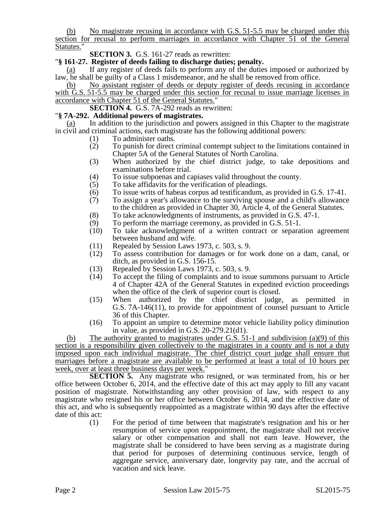(b) No magistrate recusing in accordance with G.S. 51-5.5 may be charged under this section for recusal to perform marriages in accordance with Chapter 51 of the General Statutes."

**SECTION 3.** G.S. 161-27 reads as rewritten:

"**§ 161-27. Register of deeds failing to discharge duties; penalty.**

(a) If any register of deeds fails to perform any of the duties imposed or authorized by law, he shall be guilty of a Class 1 misdemeanor, and he shall be removed from office.

(b) No assistant register of deeds or deputy register of deeds recusing in accordance with G.S. 51-5.5 may be charged under this section for recusal to issue marriage licenses in accordance with Chapter 51 of the General Statutes."

**SECTION 4.** G.S. 7A-292 reads as rewritten:

## "**§ 7A-292. Additional powers of magistrates.**

In addition to the jurisdiction and powers assigned in this Chapter to the magistrate in civil and criminal actions, each magistrate has the following additional powers:

- (1) To administer oaths.
- (2) To punish for direct criminal contempt subject to the limitations contained in Chapter 5A of the General Statutes of North Carolina.
- (3) When authorized by the chief district judge, to take depositions and examinations before trial.
- (4) To issue subpoenas and capiases valid throughout the county.<br>  $(5)$  To take affidavits for the verification of pleadings.
- To take affidavits for the verification of pleadings.
- (6) To issue writs of habeas corpus ad testificandum, as provided in G.S. 17-41.<br>(7) To assign a year's allowance to the surviving spouse and a child's allowance
- (7) To assign a year's allowance to the surviving spouse and a child's allowance to the children as provided in Chapter 30, Article 4, of the General Statutes.
- (8) To take acknowledgments of instruments, as provided in G.S. 47-1.
- (9) To perform the marriage ceremony, as provided in G.S. 51-1.
- (10) To take acknowledgment of a written contract or separation agreement between husband and wife.
- (11) Repealed by Session Laws 1973, c. 503, s. 9.<br>(12) To assess contribution for damages or for y
- (12) To assess contribution for damages or for work done on a dam, canal, or ditch, as provided in G.S. 156-15.
- (13) Repealed by Session Laws 1973, c. 503, s. 9.
- (14) To accept the filing of complaints and to issue summons pursuant to Article 4 of Chapter 42A of the General Statutes in expedited eviction proceedings when the office of the clerk of superior court is closed.
- (15) When authorized by the chief district judge, as permitted in G.S. 7A-146(11), to provide for appointment of counsel pursuant to Article 36 of this Chapter.
- (16) To appoint an umpire to determine motor vehicle liability policy diminution in value, as provided in G.S. 20-279.21(d1).

(b) The authority granted to magistrates under G.S. 51-1 and subdivision (a)(9) of this section is a responsibility given collectively to the magistrates in a county and is not a duty imposed upon each individual magistrate. The chief district court judge shall ensure that marriages before a magistrate are available to be performed at least a total of 10 hours per week, over at least three business days per week."

**SECTION 5.** Any magistrate who resigned, or was terminated from, his or her office between October 6, 2014, and the effective date of this act may apply to fill any vacant position of magistrate. Notwithstanding any other provision of law, with respect to any magistrate who resigned his or her office between October 6, 2014, and the effective date of this act, and who is subsequently reappointed as a magistrate within 90 days after the effective date of this act:

(1) For the period of time between that magistrate's resignation and his or her resumption of service upon reappointment, the magistrate shall not receive salary or other compensation and shall not earn leave. However, the magistrate shall be considered to have been serving as a magistrate during that period for purposes of determining continuous service, length of aggregate service, anniversary date, longevity pay rate, and the accrual of vacation and sick leave.